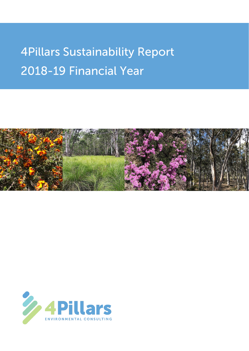# **4Pillars Sustainability Report** 2018-19 Financial Year



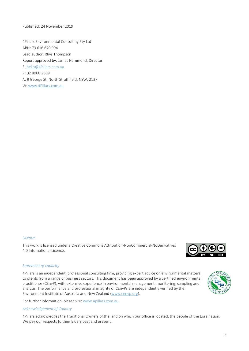Published: 24 November 2019

4Pillars Environmental Consulting Pty Ltd ABN: 73 616 670 994 Lead author: Rhys Thompson Report approved by: James Hammond, Director E: [hello@4Pillars.com.au](mailto:hello@4Pillars.com.au) P: 02 8060 2609 A: 9 George St, North Strathfield, NSW, 2137

W[: www.4Pillars.com.au](http://www.4pillars.com.au/)

#### *Licence*

This work is licensed under a Creative Commons Attribution-NonCommercial-NoDerivatives 4.0 International Licence.

#### *Statement of capacity*

4Pillars is an independent, professional consulting firm, providing expert advice on environmental matters to clients from a range of business sectors. This document has been approved by a certified environmental practitioner (CEnvP), with extensive experience in environmental management, monitoring, sampling and analysis. The performance and professional integrity of CEnvPs are independently verified by the Environment Institute of Australia and New Zealand [\(www.cenvp.org\)](http://www.cenvp.org/).

For further information, please visit [www.4pillars.com.au.](http://www.4pillars.com.au/)

#### *Acknowledgement of Country*

4Pillars acknowledges the Traditional Owners of the land on which our office is located, the people of the Eora nation. We pay our respects to their Elders past and present.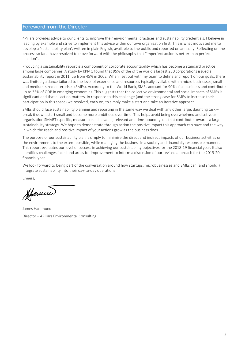# **Foreword from the Director**

4Pillars provides advice to our clients to improve their environmental practices and sustainability credentials. I believe in leading by example and strive to implement this advice within our own organisation first. This is what motivated me to develop a 'sustainability plan', written in plain English, available to the public and reported on annually. Reflecting on the process so far, I have resolved to move forward with the philosophy that "imperfect action is better than perfect inaction".

Producing a sustainability report is a component of corporate accountability which has become a standard practice among large companies. A study by KPMG found that 95% of the of the world's largest 250 corporations issued a sustainability report in 2011; up from 45% in 2002. When I set out with my team to define and report on our goals, there was limited guidance tailored to the level of experience and resources typically available within micro businesses, small and medium-sized enterprises (SMEs). According to the World Bank, SMEs account for 90% of all business and contribute up to 33% of GDP in emerging economies. This suggests that the collective environmental and social impacts of SMEs is significant and that all action matters. In response to this challenge (and the strong case for SMEs to increase their participation in this space) we resolved, early on, to simply make a start and take an iterative approach.

SMEs should face sustainability planning and reporting in the same way we deal with any other large, daunting task – break it down, start small and become more ambitious over time. This helps avoid being overwhelmed and set your organisation SMART (specific, measurable, achievable, relevant and time-bound) goals that contribute towards a larger sustainability strategy. We hope to demonstrate through action the positive impact this approach can have and the way in which the reach and positive impact of your actions grow as the business does.

The purpose of our sustainability plan is simply to minimise the direct and indirect impacts of our business activities on the environment, to the extent possible, while managing the business in a socially and financially responsible manner. This report evaluates our level of success in achieving our sustainability objectives for the 2018-19 financial year. It also identifies challenges faced and areas for improvement to inform a discussion of our revised approach for the 2019-20 financial year.

We look forward to being part of the conversation around how startups, microbusinesses and SMEs can (and should!) integrate sustainability into their day-to-day operations

Cheers,

Stamm

James Hammond Director – 4Pillars Environmental Consulting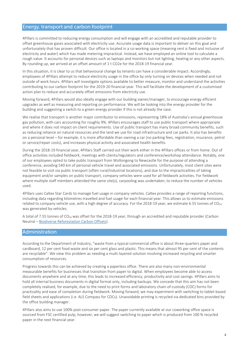## Energy, transport and carbon footprint

4Pillars is committed to reducing energy consumption and will engage with an accredited and reputable provider to offset greenhouse gases associated with electricity use. Accurate usage data is important to deliver on this goal and unfortunately that has proven difficult. Our office is located in a co-working space (meaning rent is fixed and inclusive of electricity and water) which has made metering impractical. Instead, we have employed an online tool to calculate a rough value. It accounts for personal devices such as laptops and monitors but not lighting, heating or any other aspects. By rounding up, we arrived at an offset amount of 1 t CO2e for the 2018-19 financial year.

In this situation, it is clear to us that behavioural change by tenants can have a considerable impact. Accordingly, employees of 4Pillars attempt to reduce electricity usage in the office by only turning on devices when needed and not outside of work hours. 4Pillars will investigate options available to better measure, monitor and understand the activities contributing to our carbon footprint for the 2019-20 financial year. This will facilitate the development of a customised action plan to reduce and accurately offset emissions from electricity use.

Moving forward, 4Pillars would also ideally engage with our building owner/manager, to encourage energy efficient upgrades as well as measuring and reporting on performance. We will be looking into the energy provider for the building and suggesting a switch to a green energy provider if this is not already the case.

We realise that transport is another major contributor to emissions, representing 18% of Australia's annual greenhouse gas pollution, with cars accounting for roughly 9%. 4Pillars encourages staff to use public transport where appropriate and where it does not impact on client requirements. Use of public transport has many broad community benefits, such as reducing reliance on natural resources and the land we use for road infrastructure and car parks. It also has benefits on a personal level – for example, it is more affordable than owning a car (no parking fees, registration, insurance, petrol or service/repair costs), and increases physical activity and associated health benefits.

During the 2018-19 financial year, 4Pillars Staff carried out their work either in the 4Pillars offices or from home. Out of office activities included fieldwork, meetings with clients/regulators and conference/workshop attendance. Notably, one of our employees opted to take public transport from Wollongong to Newcastle for the purpose of attending a conference, avoiding 540 km of personal vehicle travel and associated emissions. Unfortunately, most client sites were not feasible to visit via public transport (often rural/industrial locations), and due to the impracticalities of taking equipment and/or samples on public transport, company vehicles were used for all fieldwork activities. For fieldwork where multiple staff members attended the same site(s), carpooling was undertaken, to reduce the number of vehicles used.

4Pillars uses Caltex Star Cards to manage fuel usage in company vehicles. Caltex provides a range of reporting functions, including data regarding kilometres travelled and fuel usage for each financial year. This allows us to estimate emissions related to company vehicle use, with a high degree of accuracy. For the 2018-19 year, we estimate 6.55 tonnes of  $CO<sub>2e</sub>$ was generated by vehicles.

A total of 7.55 tonnes of CO<sub>2e</sub> was offset for the 2018-19 year, through an accredited and reputable provider (Carbon Neutral – [Biodiverse Reforestation Carbon Offsets\)](https://carbonneutral.com.au/biodiverse-reforestation-carbon-offsets/).

#### Administration

According to the Department of Industry, "waste from a typical commercial office is about three-quarters paper and cardboard, 12 per cent food waste and six per cent glass and plastic. This means that almost 95 per cent of the contents are recyclable". We view this problem as needing a multi-layered solution involving increased recycling and smarter consumption of resources.

Progress towards this can be achieved by creating a paperless office. There are also many non-environmental measurable benefits for businesses that transition from paper to digital. When employees become able to access documents anywhere and at any time, this leads to increased efficiency, productivity and cost savings. 4Pillars aims to hold all internal business documents in digital format only, including backups. We concede that this aim has not been completely realised, for example, due to the need to print forms and laboratory chain-of-custody (COC) forms for practicality and ease of completion during fieldwork. Moving forward, we may experiment with switching to tablet-based field sheets and applications (i.e. ALS Compass for COCs). Unavoidable printing is recycled via dedicated bins provided by the office building manager.

4Pillars also aims to use 100% post-consumer paper. The paper currently available at our coworking office space is sourced from FSC certified pulp, however, we will suggest switching to paper which is produced from 100 % recycled paper in the next financial year.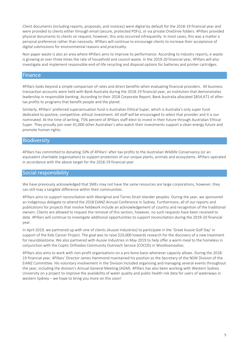Client documents (including reports, proposals, and invoices) were digital by default for the 2018-19 financial year and were provided to clients either through email (secure, protected PDFs), or via private OneDrive folders. 4Pillars provided physical documents to clients on request; however, this only occurred infrequently. In most cases, this was a matter a personal preference rather than necessity. 4Pillars will continue to encourage clients to increase their acceptance of digital submissions for environmental reasons and practicality.

Non-paper waste is also an area where 4Pillars aims to improve its performance. According to industry reports, e-waste is growing at over three times the rate of household and council waste. In the 2019-20 financial year, 4Pillars will also investigate and implement responsible end-of-life recycling and disposal options for batteries and printer cartridges.

#### **Finance**

4Pillars looks beyond a simple comparison of rates and direct benefits when evaluating financial providers. All business transaction accounts were held with Bank Australia during the 2018-19 financial year, an institution that demonstrates leadership in responsible banking. According to their 2018 Corporate Report, Bank Australia allocated \$854,471 of aftertax profits to programs that benefit people and the planet.

Similarly, 4Pillars' preferred superannuation fund is Australian Ethical Super, which is Australia's only super fund dedicated to positive, competitive, ethical investment. All staff will be encouraged to select that provider and it is our nominated. At the time of writing, 75% percent of 4Pillars staff elect to invest in their future through Australian Ethical Super. They proudly join over 41,000 other Australian's who watch their investments support a clean energy future and promote human rights.

#### **Biodiversity**

4Pillars has committed to donating 10% of 4Pillars' after-tax profits to the Australian Wildlife Conservancy (or an equivalent charitable organisation) to support protection of our unique plants, animals and ecosystems. 4Pillars operated in accordance with the above target for the 2018-19 financial year.

#### Social responsibility

We have previously acknowledged that SMEs may not have the same resources are large corporations, however, they can still may a tangible difference within their communities.

4Pillars aims to support reconciliation with Aboriginal and Torres Strait Islander peoples. During the year, we sponsored an indigenous delegate to attend the 2018 EIANZ Annual Conference in Sydney. Furthermore, all of our reports and publications for projects that involve fieldwork include an acknowledgement of country and recognition of the traditional owners. Clients are allowed to request the removal of this section, however, no such requests have been received to date. 4Pillars will continue to investigate additional opportunities to support reconciliation during the 2019-20 financial year.

In April 2019, we partnered up with one of clients (Aussie Industries) to participate in the 'Great Aussie Golf Day' in support of the Kids Cancer Project. The goal was to raise \$20,000 towards research for the discovery of a new treatment for neuroblastoma. We also partnered with Aussie Industries in May 2019 to help offer a warm meal to the homeless in conjunction with the Coptic Orthodox Community Outreach Service (COCOS) in Woolloomooloo.

4Pillars also aims to work with non-profit organisations on a pro bono basis whenever capacity allows. During the 2018- 19 financial year, 4Pillars' Director James Hammond maintained his position as the Secretary of the NSW Division of the EIANZ Committee. His voluntary involvement in the Division included organising and managing several events throughout the year, including the division's Annual General Meeting (AGM). 4Pillars has also been working with Western Sydney University on a project to improve the availability of water quality and public health risk data for users of waterways in western Sydney – we hope to bring you more on this soon!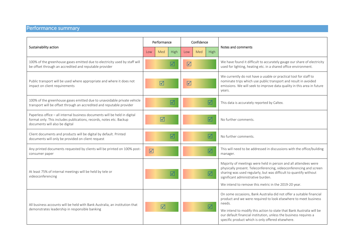# Performance summary

| Sustainability action                                                                                                                                                               | Performance     |                      |                 | Confidence      |            |                         |                                                                                                                                                                                                                                                                                                                                                     |
|-------------------------------------------------------------------------------------------------------------------------------------------------------------------------------------|-----------------|----------------------|-----------------|-----------------|------------|-------------------------|-----------------------------------------------------------------------------------------------------------------------------------------------------------------------------------------------------------------------------------------------------------------------------------------------------------------------------------------------------|
|                                                                                                                                                                                     | Low             | Med                  | High            | Low             | <b>Med</b> | High                    | Notes and comments                                                                                                                                                                                                                                                                                                                                  |
| 100% of the greenhouse gases emitted due to electricity used by staff will<br>be offset through an accredited and reputable provider                                                |                 |                      | $\triangledown$ | $\sqrt{}$       |            |                         | We have found it difficult to accurately gauge our share of electricity<br>used for lighting, heating etc. in a shared office environment.                                                                                                                                                                                                          |
| Public transport will be used where appropriate and where it does not<br>impact on client requirements                                                                              |                 | $\triangledown$      |                 | $\triangledown$ |            |                         | We currently do not have a usable or practical tool for staff to<br>nominate trips which use public transport and result in avoided<br>emissions. We will seek to improve data quality in this area in future<br>years.                                                                                                                             |
| 100% of the greenhouse gases emitted due to unavoidable private vehicle<br>transport will be offset through an accredited and reputable provider                                    |                 |                      | $\sqrt{}$       |                 |            | $\Delta$                | This data is accurately reported by Caltex.                                                                                                                                                                                                                                                                                                         |
| Paperless office - all internal business documents will be held in digital<br>format only. This includes publications, records, notes etc. Backup<br>documents will also be digital |                 | $\boxed{\checkmark}$ |                 |                 |            | $\triangledown$         | No further comments.                                                                                                                                                                                                                                                                                                                                |
| Client documents and products will be digital by default. Printed<br>documents will only be provided on client request                                                              |                 |                      | $\triangledown$ |                 |            | $\triangledown$         | No further comments.                                                                                                                                                                                                                                                                                                                                |
| Any printed documents requested by clients will be printed on 100% post-<br>consumer paper                                                                                          | $\triangledown$ |                      |                 |                 |            | $\boxed{\checkmark}$    | This will need to be addressed in discussions with the office/building<br>manager.                                                                                                                                                                                                                                                                  |
| At least 75% of internal meetings will be held by tele or<br>videoconferencing                                                                                                      |                 |                      | $\triangledown$ |                 |            | $\overline{\mathsf{M}}$ | Majority of meetings were held in person and all attendees were<br>physically present. Teleconferencing, videoconferencing and screen<br>sharing was used regularly, but was difficult to quantify without<br>significant administrative burden.<br>We intend to remove this metric in the 2019-20 year.                                            |
| All business accounts will be held with Bank Australia, an institution that<br>demonstrates leadership in responsible banking                                                       |                 | $\triangledown$      |                 |                 |            | $\triangledown$         | On some occasions, Bank Australia did not offer a suitable financial<br>product and we were required to look elsewhere to meet business<br>needs.<br>We intend to modify this action to state that Bank Australia will be<br>our default financial institution, unless the business requires a<br>specific product which is only offered elsewhere. |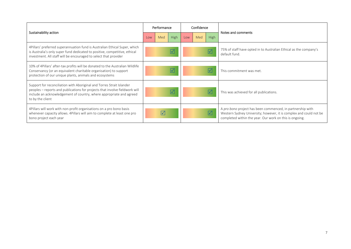| Sustainability action                                                                                                                                                                                                                           | Performance             |     |                         | Confidence                      |     |             |                                                                                                                                                                                             |
|-------------------------------------------------------------------------------------------------------------------------------------------------------------------------------------------------------------------------------------------------|-------------------------|-----|-------------------------|---------------------------------|-----|-------------|---------------------------------------------------------------------------------------------------------------------------------------------------------------------------------------------|
|                                                                                                                                                                                                                                                 | Low                     | Med | High                    | Low                             | Med | <b>High</b> | Notes and comments                                                                                                                                                                          |
| 4Pillars' preferred superannuation fund is Australian Ethical Super, which<br>is Australia's only super fund dedicated to positive, competitive, ethical<br>investment. All staff will be encouraged to select that provider                    | $\triangledown$         |     |                         | $\blacktriangledown$            |     |             | 75% of staff have opted in to Australian Ethical as the company's<br>default fund.                                                                                                          |
| 10% of 4Pillars' after-tax profits will be donated to the Australian Wildlife<br>Conservancy (or an equivalent charitable organisation) to support<br>protection of our unique plants, animals and ecosystems                                   |                         |     | $\overline{\mathsf{M}}$ | $\vert \sqrt{ } \vert$          |     |             | This commitment was met.                                                                                                                                                                    |
| Support for reconciliation with Aboriginal and Torres Strait Islander<br>peoples – reports and publications for projects that involve fieldwork will<br>include an acknowledgement of country, where appropriate and agreed<br>to by the client | $\overline{\mathsf{M}}$ |     |                         | $\sqrt{}$                       |     |             | This was achieved for all publications.                                                                                                                                                     |
| 4 Pillars will work with non-profit organisations on a pro bono basis<br>whenever capacity allows. 4Pillars will aim to complete at least one pro<br>bono project each year                                                                     | $\triangledown$         |     |                         | $\overline{\blacktriangledown}$ |     |             | A pro bono project has been commenced, in partnership with<br>Western Sydney University; however, it is complex and could not be<br>completed within the year. Our work on this is ongoing. |